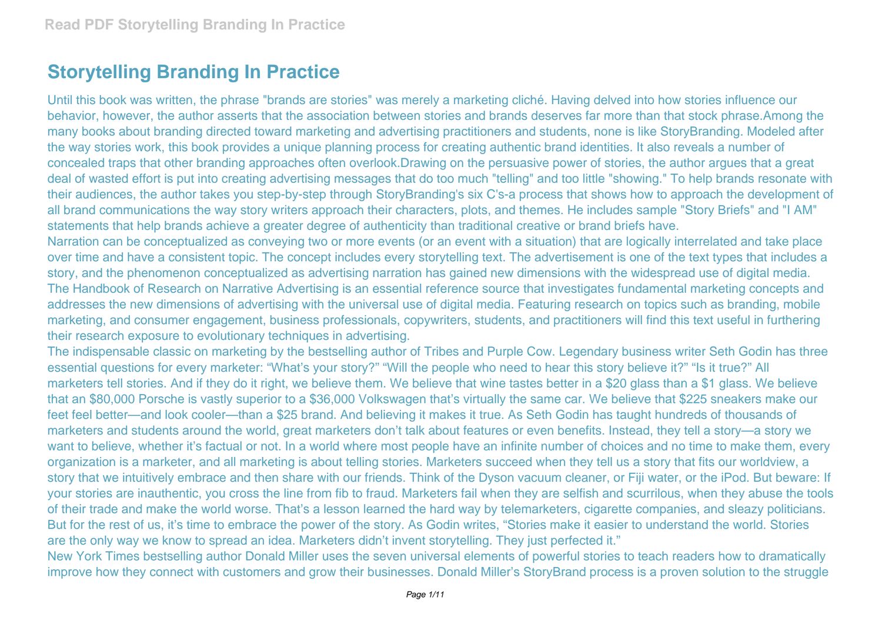## **Storytelling Branding In Practice**

Until this book was written, the phrase "brands are stories" was merely a marketing cliché. Having delved into how stories influence our behavior, however, the author asserts that the association between stories and brands deserves far more than that stock phrase.Among the many books about branding directed toward marketing and advertising practitioners and students, none is like StoryBranding. Modeled after the way stories work, this book provides a unique planning process for creating authentic brand identities. It also reveals a number of concealed traps that other branding approaches often overlook.Drawing on the persuasive power of stories, the author argues that a great deal of wasted effort is put into creating advertising messages that do too much "telling" and too little "showing." To help brands resonate with their audiences, the author takes you step-by-step through StoryBranding's six C's-a process that shows how to approach the development of all brand communications the way story writers approach their characters, plots, and themes. He includes sample "Story Briefs" and "I AM" statements that help brands achieve a greater degree of authenticity than traditional creative or brand briefs have.

Narration can be conceptualized as conveying two or more events (or an event with a situation) that are logically interrelated and take place over time and have a consistent topic. The concept includes every storytelling text. The advertisement is one of the text types that includes a story, and the phenomenon conceptualized as advertising narration has gained new dimensions with the widespread use of digital media. The Handbook of Research on Narrative Advertising is an essential reference source that investigates fundamental marketing concepts and addresses the new dimensions of advertising with the universal use of digital media. Featuring research on topics such as branding, mobile marketing, and consumer engagement, business professionals, copywriters, students, and practitioners will find this text useful in furthering their research exposure to evolutionary techniques in advertising.

The indispensable classic on marketing by the bestselling author of Tribes and Purple Cow. Legendary business writer Seth Godin has three essential questions for every marketer: "What's your story?" "Will the people who need to hear this story believe it?" "Is it true?" All marketers tell stories. And if they do it right, we believe them. We believe that wine tastes better in a \$20 glass than a \$1 glass. We believe that an \$80,000 Porsche is vastly superior to a \$36,000 Volkswagen that's virtually the same car. We believe that \$225 sneakers make our feet feel better—and look cooler—than a \$25 brand. And believing it makes it true. As Seth Godin has taught hundreds of thousands of marketers and students around the world, great marketers don't talk about features or even benefits. Instead, they tell a story—a story we want to believe, whether it's factual or not. In a world where most people have an infinite number of choices and no time to make them, every organization is a marketer, and all marketing is about telling stories. Marketers succeed when they tell us a story that fits our worldview, a story that we intuitively embrace and then share with our friends. Think of the Dyson vacuum cleaner, or Fiji water, or the iPod. But beware: If your stories are inauthentic, you cross the line from fib to fraud. Marketers fail when they are selfish and scurrilous, when they abuse the tools of their trade and make the world worse. That's a lesson learned the hard way by telemarketers, cigarette companies, and sleazy politicians. But for the rest of us, it's time to embrace the power of the story. As Godin writes, "Stories make it easier to understand the world. Stories are the only way we know to spread an idea. Marketers didn't invent storytelling. They just perfected it."

New York Times bestselling author Donald Miller uses the seven universal elements of powerful stories to teach readers how to dramatically improve how they connect with customers and grow their businesses. Donald Miller's StoryBrand process is a proven solution to the struggle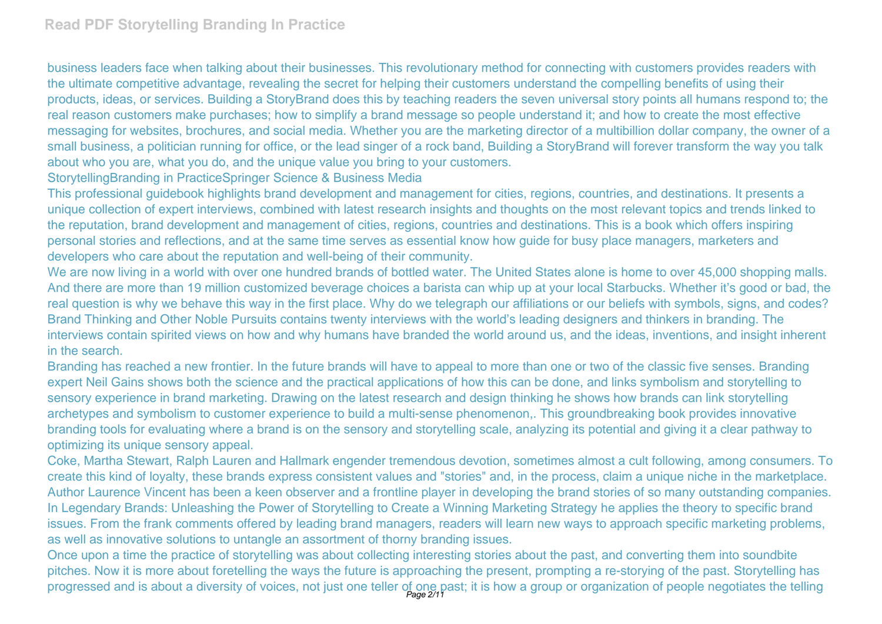business leaders face when talking about their businesses. This revolutionary method for connecting with customers provides readers with the ultimate competitive advantage, revealing the secret for helping their customers understand the compelling benefits of using their products, ideas, or services. Building a StoryBrand does this by teaching readers the seven universal story points all humans respond to; the real reason customers make purchases; how to simplify a brand message so people understand it; and how to create the most effective messaging for websites, brochures, and social media. Whether you are the marketing director of a multibillion dollar company, the owner of a small business, a politician running for office, or the lead singer of a rock band, Building a StoryBrand will forever transform the way you talk about who you are, what you do, and the unique value you bring to your customers.

StorytellingBranding in PracticeSpringer Science & Business Media

This professional guidebook highlights brand development and management for cities, regions, countries, and destinations. It presents a unique collection of expert interviews, combined with latest research insights and thoughts on the most relevant topics and trends linked to the reputation, brand development and management of cities, regions, countries and destinations. This is a book which offers inspiring personal stories and reflections, and at the same time serves as essential know how guide for busy place managers, marketers and developers who care about the reputation and well-being of their community.

We are now living in a world with over one hundred brands of bottled water. The United States alone is home to over 45,000 shopping malls. And there are more than 19 million customized beverage choices a barista can whip up at your local Starbucks. Whether it's good or bad, the real question is why we behave this way in the first place. Why do we telegraph our affiliations or our beliefs with symbols, signs, and codes? Brand Thinking and Other Noble Pursuits contains twenty interviews with the world's leading designers and thinkers in branding. The interviews contain spirited views on how and why humans have branded the world around us, and the ideas, inventions, and insight inherent in the search.

Branding has reached a new frontier. In the future brands will have to appeal to more than one or two of the classic five senses. Branding expert Neil Gains shows both the science and the practical applications of how this can be done, and links symbolism and storytelling to sensory experience in brand marketing. Drawing on the latest research and design thinking he shows how brands can link storytelling archetypes and symbolism to customer experience to build a multi-sense phenomenon,. This groundbreaking book provides innovative branding tools for evaluating where a brand is on the sensory and storytelling scale, analyzing its potential and giving it a clear pathway to optimizing its unique sensory appeal.

Coke, Martha Stewart, Ralph Lauren and Hallmark engender tremendous devotion, sometimes almost a cult following, among consumers. To create this kind of loyalty, these brands express consistent values and "stories" and, in the process, claim a unique niche in the marketplace. Author Laurence Vincent has been a keen observer and a frontline player in developing the brand stories of so many outstanding companies. In Legendary Brands: Unleashing the Power of Storytelling to Create a Winning Marketing Strategy he applies the theory to specific brand issues. From the frank comments offered by leading brand managers, readers will learn new ways to approach specific marketing problems, as well as innovative solutions to untangle an assortment of thorny branding issues.

Once upon a time the practice of storytelling was about collecting interesting stories about the past, and converting them into soundbite pitches. Now it is more about foretelling the ways the future is approaching the present, prompting a re-storying of the past. Storytelling has progressed and is about a diversity of voices, not just one teller of one past; it is how a group or organization of people negotiates the telling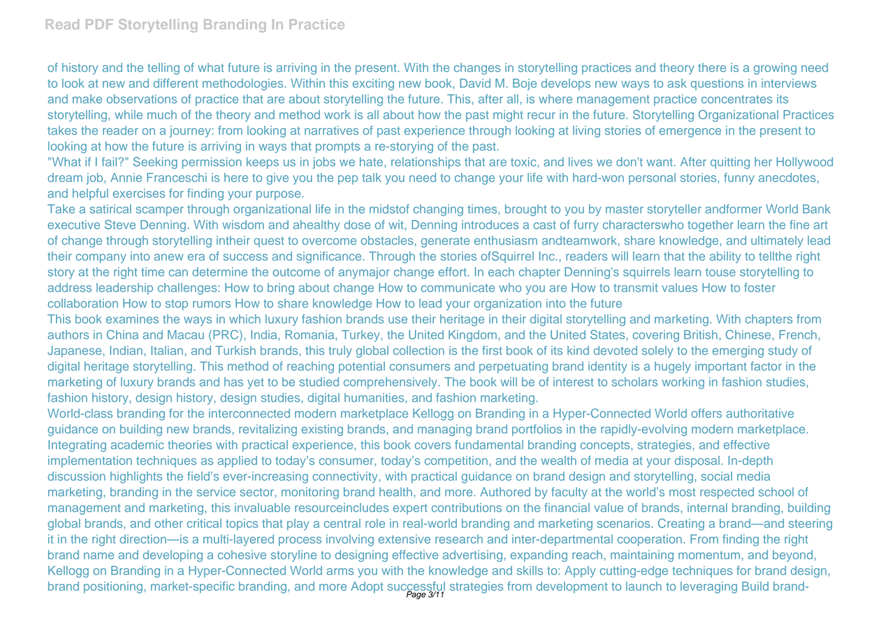of history and the telling of what future is arriving in the present. With the changes in storytelling practices and theory there is a growing need to look at new and different methodologies. Within this exciting new book, David M. Boje develops new ways to ask questions in interviews and make observations of practice that are about storytelling the future. This, after all, is where management practice concentrates its storytelling, while much of the theory and method work is all about how the past might recur in the future. Storytelling Organizational Practices takes the reader on a journey: from looking at narratives of past experience through looking at living stories of emergence in the present to looking at how the future is arriving in ways that prompts a re-storying of the past.

"What if I fail?" Seeking permission keeps us in jobs we hate, relationships that are toxic, and lives we don't want. After quitting her Hollywood dream job, Annie Franceschi is here to give you the pep talk you need to change your life with hard-won personal stories, funny anecdotes, and helpful exercises for finding your purpose.

Take a satirical scamper through organizational life in the midstof changing times, brought to you by master storyteller andformer World Bank executive Steve Denning. With wisdom and ahealthy dose of wit, Denning introduces a cast of furry characterswho together learn the fine art of change through storytelling intheir quest to overcome obstacles, generate enthusiasm andteamwork, share knowledge, and ultimately lead their company into anew era of success and significance. Through the stories ofSquirrel Inc., readers will learn that the ability to tellthe right story at the right time can determine the outcome of anymajor change effort. In each chapter Denning's squirrels learn touse storytelling to address leadership challenges: How to bring about change How to communicate who you are How to transmit values How to foster collaboration How to stop rumors How to share knowledge How to lead your organization into the future

This book examines the ways in which luxury fashion brands use their heritage in their digital storytelling and marketing. With chapters from authors in China and Macau (PRC), India, Romania, Turkey, the United Kingdom, and the United States, covering British, Chinese, French, Japanese, Indian, Italian, and Turkish brands, this truly global collection is the first book of its kind devoted solely to the emerging study of digital heritage storytelling. This method of reaching potential consumers and perpetuating brand identity is a hugely important factor in the marketing of luxury brands and has yet to be studied comprehensively. The book will be of interest to scholars working in fashion studies, fashion history, design history, design studies, digital humanities, and fashion marketing.

World-class branding for the interconnected modern marketplace Kellogg on Branding in a Hyper-Connected World offers authoritative guidance on building new brands, revitalizing existing brands, and managing brand portfolios in the rapidly-evolving modern marketplace. Integrating academic theories with practical experience, this book covers fundamental branding concepts, strategies, and effective implementation techniques as applied to today's consumer, today's competition, and the wealth of media at your disposal. In-depth discussion highlights the field's ever-increasing connectivity, with practical guidance on brand design and storytelling, social media marketing, branding in the service sector, monitoring brand health, and more. Authored by faculty at the world's most respected school of management and marketing, this invaluable resourceincludes expert contributions on the financial value of brands, internal branding, building global brands, and other critical topics that play a central role in real-world branding and marketing scenarios. Creating a brand—and steering it in the right direction—is a multi-layered process involving extensive research and inter-departmental cooperation. From finding the right brand name and developing a cohesive storyline to designing effective advertising, expanding reach, maintaining momentum, and beyond, Kellogg on Branding in a Hyper-Connected World arms you with the knowledge and skills to: Apply cutting-edge techniques for brand design, brand positioning, market-specific branding, and more Adopt successful strategies from development to launch to leveraging Build brand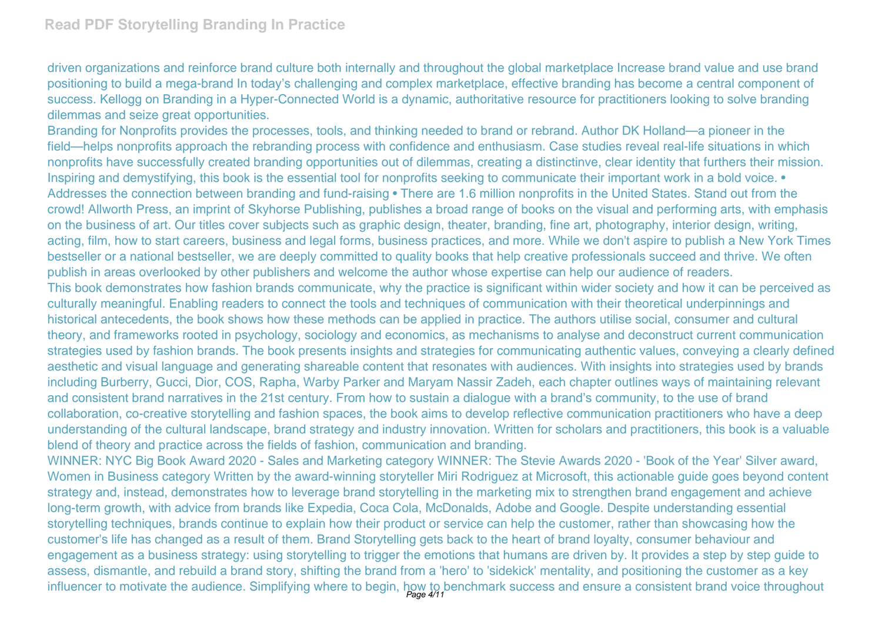driven organizations and reinforce brand culture both internally and throughout the global marketplace Increase brand value and use brand positioning to build a mega-brand In today's challenging and complex marketplace, effective branding has become a central component of success. Kellogg on Branding in a Hyper-Connected World is a dynamic, authoritative resource for practitioners looking to solve branding dilemmas and seize great opportunities.

Branding for Nonprofits provides the processes, tools, and thinking needed to brand or rebrand. Author DK Holland—a pioneer in the field—helps nonprofits approach the rebranding process with confidence and enthusiasm. Case studies reveal real-life situations in which nonprofits have successfully created branding opportunities out of dilemmas, creating a distinctinve, clear identity that furthers their mission. Inspiring and demystifying, this book is the essential tool for nonprofits seeking to communicate their important work in a bold voice. • Addresses the connection between branding and fund-raising • There are 1.6 million nonprofits in the United States. Stand out from the crowd! Allworth Press, an imprint of Skyhorse Publishing, publishes a broad range of books on the visual and performing arts, with emphasis on the business of art. Our titles cover subjects such as graphic design, theater, branding, fine art, photography, interior design, writing, acting, film, how to start careers, business and legal forms, business practices, and more. While we don't aspire to publish a New York Times bestseller or a national bestseller, we are deeply committed to quality books that help creative professionals succeed and thrive. We often publish in areas overlooked by other publishers and welcome the author whose expertise can help our audience of readers. This book demonstrates how fashion brands communicate, why the practice is significant within wider society and how it can be perceived as culturally meaningful. Enabling readers to connect the tools and techniques of communication with their theoretical underpinnings and

historical antecedents, the book shows how these methods can be applied in practice. The authors utilise social, consumer and cultural theory, and frameworks rooted in psychology, sociology and economics, as mechanisms to analyse and deconstruct current communication strategies used by fashion brands. The book presents insights and strategies for communicating authentic values, conveying a clearly defined aesthetic and visual language and generating shareable content that resonates with audiences. With insights into strategies used by brands including Burberry, Gucci, Dior, COS, Rapha, Warby Parker and Maryam Nassir Zadeh, each chapter outlines ways of maintaining relevant and consistent brand narratives in the 21st century. From how to sustain a dialogue with a brand's community, to the use of brand collaboration, co-creative storytelling and fashion spaces, the book aims to develop reflective communication practitioners who have a deep understanding of the cultural landscape, brand strategy and industry innovation. Written for scholars and practitioners, this book is a valuable blend of theory and practice across the fields of fashion, communication and branding.

WINNER: NYC Big Book Award 2020 - Sales and Marketing category WINNER: The Stevie Awards 2020 - 'Book of the Year' Silver award, Women in Business category Written by the award-winning storyteller Miri Rodriguez at Microsoft, this actionable guide goes beyond content strategy and, instead, demonstrates how to leverage brand storytelling in the marketing mix to strengthen brand engagement and achieve long-term growth, with advice from brands like Expedia, Coca Cola, McDonalds, Adobe and Google. Despite understanding essential storytelling techniques, brands continue to explain how their product or service can help the customer, rather than showcasing how the customer's life has changed as a result of them. Brand Storytelling gets back to the heart of brand loyalty, consumer behaviour and engagement as a business strategy: using storytelling to trigger the emotions that humans are driven by. It provides a step by step guide to assess, dismantle, and rebuild a brand story, shifting the brand from a 'hero' to 'sidekick' mentality, and positioning the customer as a key influencer to motivate the audience. Simplifying where to begin, how to benchmark success and ensure a consistent brand voice throughout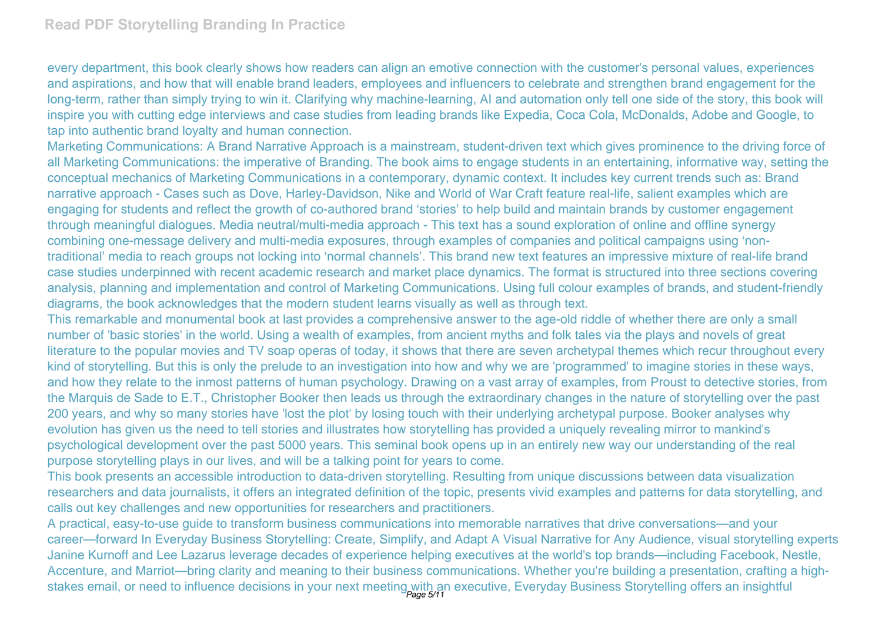every department, this book clearly shows how readers can align an emotive connection with the customer's personal values, experiences and aspirations, and how that will enable brand leaders, employees and influencers to celebrate and strengthen brand engagement for the long-term, rather than simply trying to win it. Clarifying why machine-learning, AI and automation only tell one side of the story, this book will inspire you with cutting edge interviews and case studies from leading brands like Expedia, Coca Cola, McDonalds, Adobe and Google, to tap into authentic brand loyalty and human connection.

Marketing Communications: A Brand Narrative Approach is a mainstream, student-driven text which gives prominence to the driving force of all Marketing Communications: the imperative of Branding. The book aims to engage students in an entertaining, informative way, setting the conceptual mechanics of Marketing Communications in a contemporary, dynamic context. It includes key current trends such as: Brand narrative approach - Cases such as Dove, Harley-Davidson, Nike and World of War Craft feature real-life, salient examples which are engaging for students and reflect the growth of co-authored brand 'stories' to help build and maintain brands by customer engagement through meaningful dialogues. Media neutral/multi-media approach - This text has a sound exploration of online and offline synergy combining one-message delivery and multi-media exposures, through examples of companies and political campaigns using 'nontraditional' media to reach groups not locking into 'normal channels'. This brand new text features an impressive mixture of real-life brand case studies underpinned with recent academic research and market place dynamics. The format is structured into three sections covering analysis, planning and implementation and control of Marketing Communications. Using full colour examples of brands, and student-friendly diagrams, the book acknowledges that the modern student learns visually as well as through text.

This remarkable and monumental book at last provides a comprehensive answer to the age-old riddle of whether there are only a small number of 'basic stories' in the world. Using a wealth of examples, from ancient myths and folk tales via the plays and novels of great literature to the popular movies and TV soap operas of today, it shows that there are seven archetypal themes which recur throughout every kind of storytelling. But this is only the prelude to an investigation into how and why we are 'programmed' to imagine stories in these ways, and how they relate to the inmost patterns of human psychology. Drawing on a vast array of examples, from Proust to detective stories, from the Marquis de Sade to E.T., Christopher Booker then leads us through the extraordinary changes in the nature of storytelling over the past 200 years, and why so many stories have 'lost the plot' by losing touch with their underlying archetypal purpose. Booker analyses why evolution has given us the need to tell stories and illustrates how storytelling has provided a uniquely revealing mirror to mankind's psychological development over the past 5000 years. This seminal book opens up in an entirely new way our understanding of the real purpose storytelling plays in our lives, and will be a talking point for years to come.

This book presents an accessible introduction to data-driven storytelling. Resulting from unique discussions between data visualization researchers and data journalists, it offers an integrated definition of the topic, presents vivid examples and patterns for data storytelling, and calls out key challenges and new opportunities for researchers and practitioners.

A practical, easy-to-use guide to transform business communications into memorable narratives that drive conversations—and your career—forward In Everyday Business Storytelling: Create, Simplify, and Adapt A Visual Narrative for Any Audience, visual storytelling experts Janine Kurnoff and Lee Lazarus leverage decades of experience helping executives at the world's top brands—including Facebook, Nestle, Accenture, and Marriot—bring clarity and meaning to their business communications. Whether you're building a presentation, crafting a highstakes email, or need to influence decisions in your next meeting with an executive, Everyday Business Storytelling offers an insightful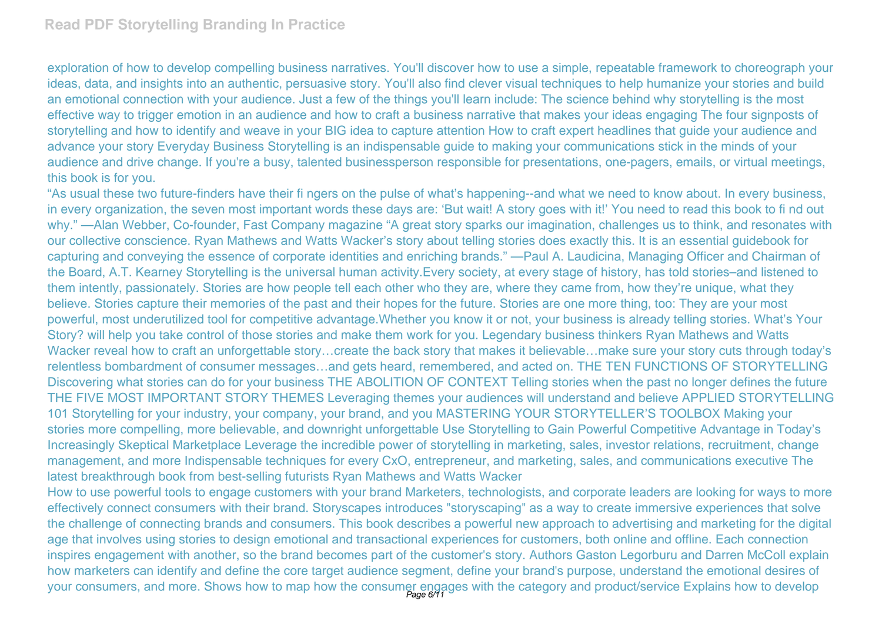## **Read PDF Storytelling Branding In Practice**

exploration of how to develop compelling business narratives. You'll discover how to use a simple, repeatable framework to choreograph your ideas, data, and insights into an authentic, persuasive story. You'll also find clever visual techniques to help humanize your stories and build an emotional connection with your audience. Just a few of the things you'll learn include: The science behind why storytelling is the most effective way to trigger emotion in an audience and how to craft a business narrative that makes your ideas engaging The four signposts of storytelling and how to identify and weave in your BIG idea to capture attention How to craft expert headlines that guide your audience and advance your story Everyday Business Storytelling is an indispensable guide to making your communications stick in the minds of your audience and drive change. If you're a busy, talented businessperson responsible for presentations, one-pagers, emails, or virtual meetings, this book is for you.

"As usual these two future-finders have their fi ngers on the pulse of what's happening--and what we need to know about. In every business, in every organization, the seven most important words these days are: 'But wait! A story goes with it!' You need to read this book to fi nd out why." —Alan Webber, Co-founder, Fast Company magazine "A great story sparks our imagination, challenges us to think, and resonates with our collective conscience. Ryan Mathews and Watts Wacker's story about telling stories does exactly this. It is an essential guidebook for capturing and conveying the essence of corporate identities and enriching brands." —Paul A. Laudicina, Managing Officer and Chairman of the Board, A.T. Kearney Storytelling is the universal human activity.Every society, at every stage of history, has told stories–and listened to them intently, passionately. Stories are how people tell each other who they are, where they came from, how they're unique, what they believe. Stories capture their memories of the past and their hopes for the future. Stories are one more thing, too: They are your most powerful, most underutilized tool for competitive advantage.Whether you know it or not, your business is already telling stories. What's Your Story? will help you take control of those stories and make them work for you. Legendary business thinkers Ryan Mathews and Watts Wacker reveal how to craft an unforgettable story…create the back story that makes it believable…make sure your story cuts through today's relentless bombardment of consumer messages…and gets heard, remembered, and acted on. THE TEN FUNCTIONS OF STORYTELLING Discovering what stories can do for your business THE ABOLITION OF CONTEXT Telling stories when the past no longer defines the future THE FIVE MOST IMPORTANT STORY THEMES Leveraging themes your audiences will understand and believe APPLIED STORYTELLING 101 Storytelling for your industry, your company, your brand, and you MASTERING YOUR STORYTELLER'S TOOLBOX Making your stories more compelling, more believable, and downright unforgettable Use Storytelling to Gain Powerful Competitive Advantage in Today's Increasingly Skeptical Marketplace Leverage the incredible power of storytelling in marketing, sales, investor relations, recruitment, change management, and more Indispensable techniques for every CxO, entrepreneur, and marketing, sales, and communications executive The latest breakthrough book from best-selling futurists Ryan Mathews and Watts Wacker

How to use powerful tools to engage customers with your brand Marketers, technologists, and corporate leaders are looking for ways to more effectively connect consumers with their brand. Storyscapes introduces "storyscaping" as a way to create immersive experiences that solve the challenge of connecting brands and consumers. This book describes a powerful new approach to advertising and marketing for the digital age that involves using stories to design emotional and transactional experiences for customers, both online and offline. Each connection inspires engagement with another, so the brand becomes part of the customer's story. Authors Gaston Legorburu and Darren McColl explain how marketers can identify and define the core target audience segment, define your brand's purpose, understand the emotional desires of your consumers, and more. Shows how to map how the consumer engages with the category and product/service Explains how to develop<br>Page 6/11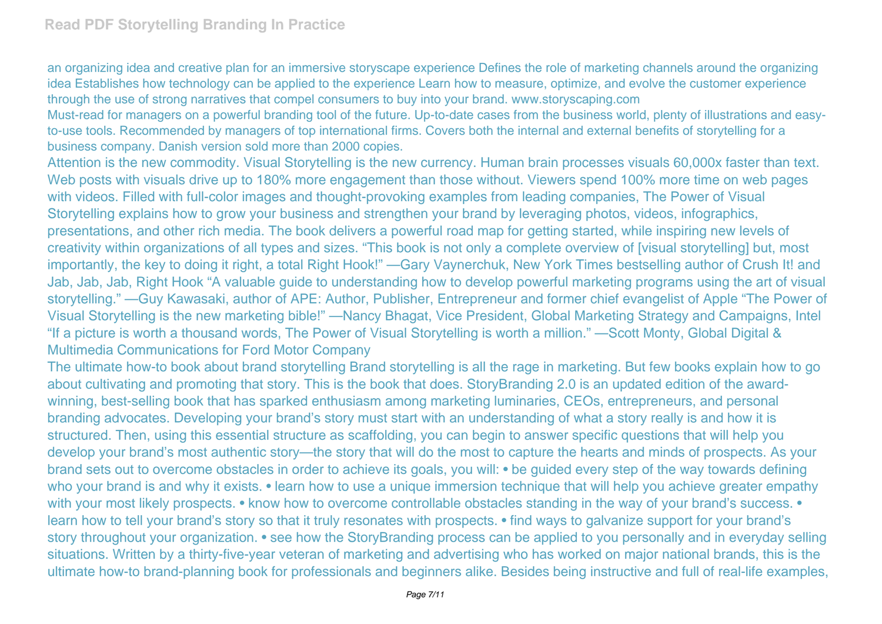an organizing idea and creative plan for an immersive storyscape experience Defines the role of marketing channels around the organizing idea Establishes how technology can be applied to the experience Learn how to measure, optimize, and evolve the customer experience through the use of strong narratives that compel consumers to buy into your brand. www.storyscaping.com

Must-read for managers on a powerful branding tool of the future. Up-to-date cases from the business world, plenty of illustrations and easyto-use tools. Recommended by managers of top international firms. Covers both the internal and external benefits of storytelling for a business company. Danish version sold more than 2000 copies.

Attention is the new commodity. Visual Storytelling is the new currency. Human brain processes visuals 60,000x faster than text. Web posts with visuals drive up to 180% more engagement than those without. Viewers spend 100% more time on web pages with videos. Filled with full-color images and thought-provoking examples from leading companies, The Power of Visual Storytelling explains how to grow your business and strengthen your brand by leveraging photos, videos, infographics, presentations, and other rich media. The book delivers a powerful road map for getting started, while inspiring new levels of creativity within organizations of all types and sizes. "This book is not only a complete overview of [visual storytelling] but, most importantly, the key to doing it right, a total Right Hook!" —Gary Vaynerchuk, New York Times bestselling author of Crush It! and Jab, Jab, Jab, Right Hook "A valuable guide to understanding how to develop powerful marketing programs using the art of visual storytelling." —Guy Kawasaki, author of APE: Author, Publisher, Entrepreneur and former chief evangelist of Apple "The Power of Visual Storytelling is the new marketing bible!" —Nancy Bhagat, Vice President, Global Marketing Strategy and Campaigns, Intel "If a picture is worth a thousand words, The Power of Visual Storytelling is worth a million." —Scott Monty, Global Digital & Multimedia Communications for Ford Motor Company

The ultimate how-to book about brand storytelling Brand storytelling is all the rage in marketing. But few books explain how to go about cultivating and promoting that story. This is the book that does. StoryBranding 2.0 is an updated edition of the awardwinning, best-selling book that has sparked enthusiasm among marketing luminaries, CEOs, entrepreneurs, and personal branding advocates. Developing your brand's story must start with an understanding of what a story really is and how it is structured. Then, using this essential structure as scaffolding, you can begin to answer specific questions that will help you develop your brand's most authentic story—the story that will do the most to capture the hearts and minds of prospects. As your brand sets out to overcome obstacles in order to achieve its goals, you will: • be guided every step of the way towards defining who your brand is and why it exists. • learn how to use a unique immersion technique that will help you achieve greater empathy with your most likely prospects. • know how to overcome controllable obstacles standing in the way of your brand's success. • learn how to tell your brand's story so that it truly resonates with prospects. • find ways to galvanize support for your brand's story throughout your organization. • see how the StoryBranding process can be applied to you personally and in everyday selling situations. Written by a thirty-five-year veteran of marketing and advertising who has worked on major national brands, this is the ultimate how-to brand-planning book for professionals and beginners alike. Besides being instructive and full of real-life examples,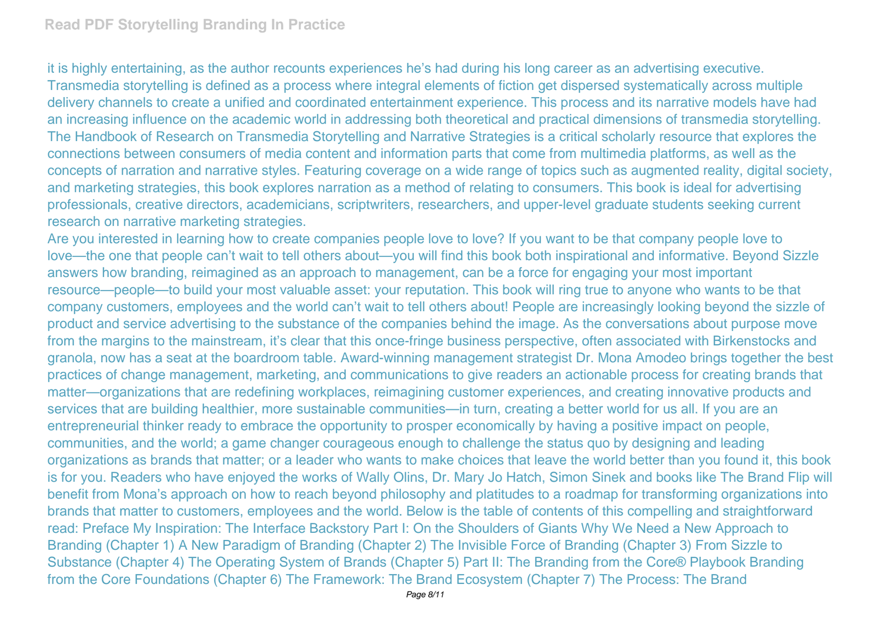it is highly entertaining, as the author recounts experiences he's had during his long career as an advertising executive. Transmedia storytelling is defined as a process where integral elements of fiction get dispersed systematically across multiple delivery channels to create a unified and coordinated entertainment experience. This process and its narrative models have had an increasing influence on the academic world in addressing both theoretical and practical dimensions of transmedia storytelling. The Handbook of Research on Transmedia Storytelling and Narrative Strategies is a critical scholarly resource that explores the connections between consumers of media content and information parts that come from multimedia platforms, as well as the concepts of narration and narrative styles. Featuring coverage on a wide range of topics such as augmented reality, digital society, and marketing strategies, this book explores narration as a method of relating to consumers. This book is ideal for advertising professionals, creative directors, academicians, scriptwriters, researchers, and upper-level graduate students seeking current research on narrative marketing strategies.

Are you interested in learning how to create companies people love to love? If you want to be that company people love to love—the one that people can't wait to tell others about—you will find this book both inspirational and informative. Beyond Sizzle answers how branding, reimagined as an approach to management, can be a force for engaging your most important resource—people—to build your most valuable asset: your reputation. This book will ring true to anyone who wants to be that company customers, employees and the world can't wait to tell others about! People are increasingly looking beyond the sizzle of product and service advertising to the substance of the companies behind the image. As the conversations about purpose move from the margins to the mainstream, it's clear that this once-fringe business perspective, often associated with Birkenstocks and granola, now has a seat at the boardroom table. Award-winning management strategist Dr. Mona Amodeo brings together the best practices of change management, marketing, and communications to give readers an actionable process for creating brands that matter—organizations that are redefining workplaces, reimagining customer experiences, and creating innovative products and services that are building healthier, more sustainable communities—in turn, creating a better world for us all. If you are an entrepreneurial thinker ready to embrace the opportunity to prosper economically by having a positive impact on people, communities, and the world; a game changer courageous enough to challenge the status quo by designing and leading organizations as brands that matter; or a leader who wants to make choices that leave the world better than you found it, this book is for you. Readers who have enjoyed the works of Wally Olins, Dr. Mary Jo Hatch, Simon Sinek and books like The Brand Flip will benefit from Mona's approach on how to reach beyond philosophy and platitudes to a roadmap for transforming organizations into brands that matter to customers, employees and the world. Below is the table of contents of this compelling and straightforward read: Preface My Inspiration: The Interface Backstory Part I: On the Shoulders of Giants Why We Need a New Approach to Branding (Chapter 1) A New Paradigm of Branding (Chapter 2) The Invisible Force of Branding (Chapter 3) From Sizzle to Substance (Chapter 4) The Operating System of Brands (Chapter 5) Part II: The Branding from the Core® Playbook Branding from the Core Foundations (Chapter 6) The Framework: The Brand Ecosystem (Chapter 7) The Process: The Brand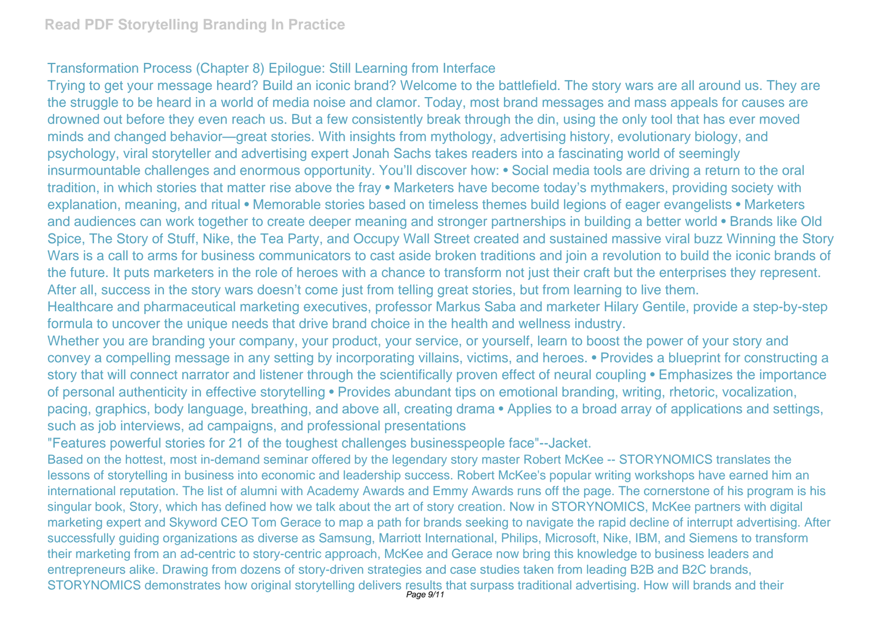## Transformation Process (Chapter 8) Epilogue: Still Learning from Interface

Trying to get your message heard? Build an iconic brand? Welcome to the battlefield. The story wars are all around us. They are the struggle to be heard in a world of media noise and clamor. Today, most brand messages and mass appeals for causes are drowned out before they even reach us. But a few consistently break through the din, using the only tool that has ever moved minds and changed behavior—great stories. With insights from mythology, advertising history, evolutionary biology, and psychology, viral storyteller and advertising expert Jonah Sachs takes readers into a fascinating world of seemingly insurmountable challenges and enormous opportunity. You'll discover how: • Social media tools are driving a return to the oral tradition, in which stories that matter rise above the fray • Marketers have become today's mythmakers, providing society with explanation, meaning, and ritual • Memorable stories based on timeless themes build legions of eager evangelists • Marketers and audiences can work together to create deeper meaning and stronger partnerships in building a better world • Brands like Old Spice, The Story of Stuff, Nike, the Tea Party, and Occupy Wall Street created and sustained massive viral buzz Winning the Story Wars is a call to arms for business communicators to cast aside broken traditions and join a revolution to build the iconic brands of the future. It puts marketers in the role of heroes with a chance to transform not just their craft but the enterprises they represent. After all, success in the story wars doesn't come just from telling great stories, but from learning to live them.

Healthcare and pharmaceutical marketing executives, professor Markus Saba and marketer Hilary Gentile, provide a step-by-step formula to uncover the unique needs that drive brand choice in the health and wellness industry.

Whether you are branding your company, your product, your service, or yourself, learn to boost the power of your story and convey a compelling message in any setting by incorporating villains, victims, and heroes. • Provides a blueprint for constructing a story that will connect narrator and listener through the scientifically proven effect of neural coupling • Emphasizes the importance of personal authenticity in effective storytelling • Provides abundant tips on emotional branding, writing, rhetoric, vocalization, pacing, graphics, body language, breathing, and above all, creating drama • Applies to a broad array of applications and settings, such as job interviews, ad campaigns, and professional presentations

"Features powerful stories for 21 of the toughest challenges businesspeople face"--Jacket.

Based on the hottest, most in-demand seminar offered by the legendary story master Robert McKee -- STORYNOMICS translates the lessons of storytelling in business into economic and leadership success. Robert McKee's popular writing workshops have earned him an international reputation. The list of alumni with Academy Awards and Emmy Awards runs off the page. The cornerstone of his program is his singular book, Story, which has defined how we talk about the art of story creation. Now in STORYNOMICS, McKee partners with digital marketing expert and Skyword CEO Tom Gerace to map a path for brands seeking to navigate the rapid decline of interrupt advertising. After successfully guiding organizations as diverse as Samsung, Marriott International, Philips, Microsoft, Nike, IBM, and Siemens to transform their marketing from an ad-centric to story-centric approach, McKee and Gerace now bring this knowledge to business leaders and entrepreneurs alike. Drawing from dozens of story-driven strategies and case studies taken from leading B2B and B2C brands, STORYNOMICS demonstrates how original storytelling delivers results that surpass traditional advertising. How will brands and their<br>Page 9/11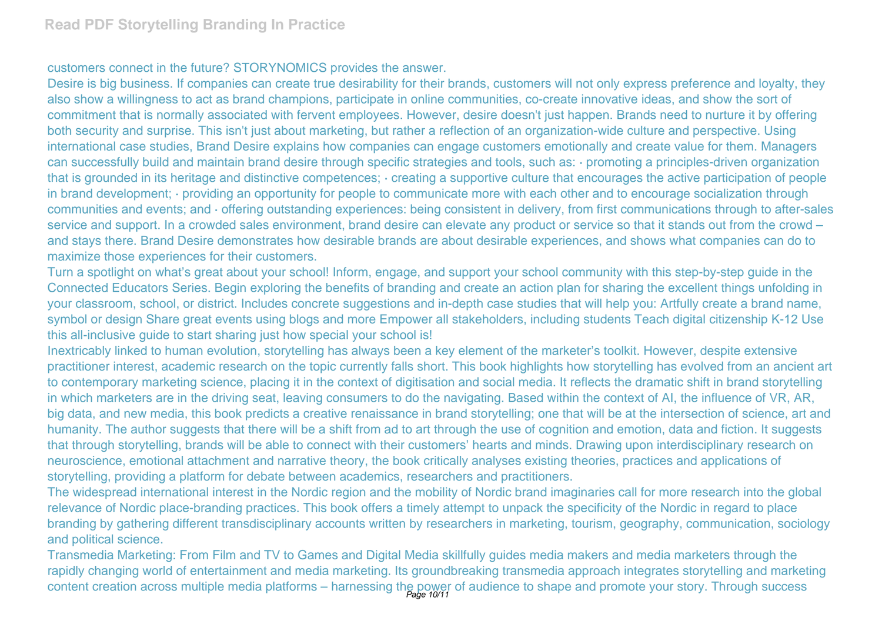## customers connect in the future? STORYNOMICS provides the answer.

Desire is big business. If companies can create true desirability for their brands, customers will not only express preference and loyalty, they also show a willingness to act as brand champions, participate in online communities, co-create innovative ideas, and show the sort of commitment that is normally associated with fervent employees. However, desire doesn't just happen. Brands need to nurture it by offering both security and surprise. This isn't just about marketing, but rather a reflection of an organization-wide culture and perspective. Using international case studies, Brand Desire explains how companies can engage customers emotionally and create value for them. Managers can successfully build and maintain brand desire through specific strategies and tools, such as: · promoting a principles-driven organization that is grounded in its heritage and distinctive competences; · creating a supportive culture that encourages the active participation of people in brand development; · providing an opportunity for people to communicate more with each other and to encourage socialization through communities and events; and · offering outstanding experiences: being consistent in delivery, from first communications through to after-sales service and support. In a crowded sales environment, brand desire can elevate any product or service so that it stands out from the crowd – and stays there. Brand Desire demonstrates how desirable brands are about desirable experiences, and shows what companies can do to maximize those experiences for their customers.

Turn a spotlight on what's great about your school! Inform, engage, and support your school community with this step-by-step guide in the Connected Educators Series. Begin exploring the benefits of branding and create an action plan for sharing the excellent things unfolding in your classroom, school, or district. Includes concrete suggestions and in-depth case studies that will help you: Artfully create a brand name, symbol or design Share great events using blogs and more Empower all stakeholders, including students Teach digital citizenship K-12 Use this all-inclusive guide to start sharing just how special your school is!

Inextricably linked to human evolution, storytelling has always been a key element of the marketer's toolkit. However, despite extensive practitioner interest, academic research on the topic currently falls short. This book highlights how storytelling has evolved from an ancient art to contemporary marketing science, placing it in the context of digitisation and social media. It reflects the dramatic shift in brand storytelling in which marketers are in the driving seat, leaving consumers to do the navigating. Based within the context of AI, the influence of VR, AR, big data, and new media, this book predicts a creative renaissance in brand storytelling; one that will be at the intersection of science, art and humanity. The author suggests that there will be a shift from ad to art through the use of cognition and emotion, data and fiction. It suggests that through storytelling, brands will be able to connect with their customers' hearts and minds. Drawing upon interdisciplinary research on neuroscience, emotional attachment and narrative theory, the book critically analyses existing theories, practices and applications of storytelling, providing a platform for debate between academics, researchers and practitioners.

The widespread international interest in the Nordic region and the mobility of Nordic brand imaginaries call for more research into the global relevance of Nordic place-branding practices. This book offers a timely attempt to unpack the specificity of the Nordic in regard to place branding by gathering different transdisciplinary accounts written by researchers in marketing, tourism, geography, communication, sociology and political science.

Transmedia Marketing: From Film and TV to Games and Digital Media skillfully guides media makers and media marketers through the rapidly changing world of entertainment and media marketing. Its groundbreaking transmedia approach integrates storytelling and marketing content creation across multiple media platforms – harnessing the power of audience to shape and promote your story. Through success